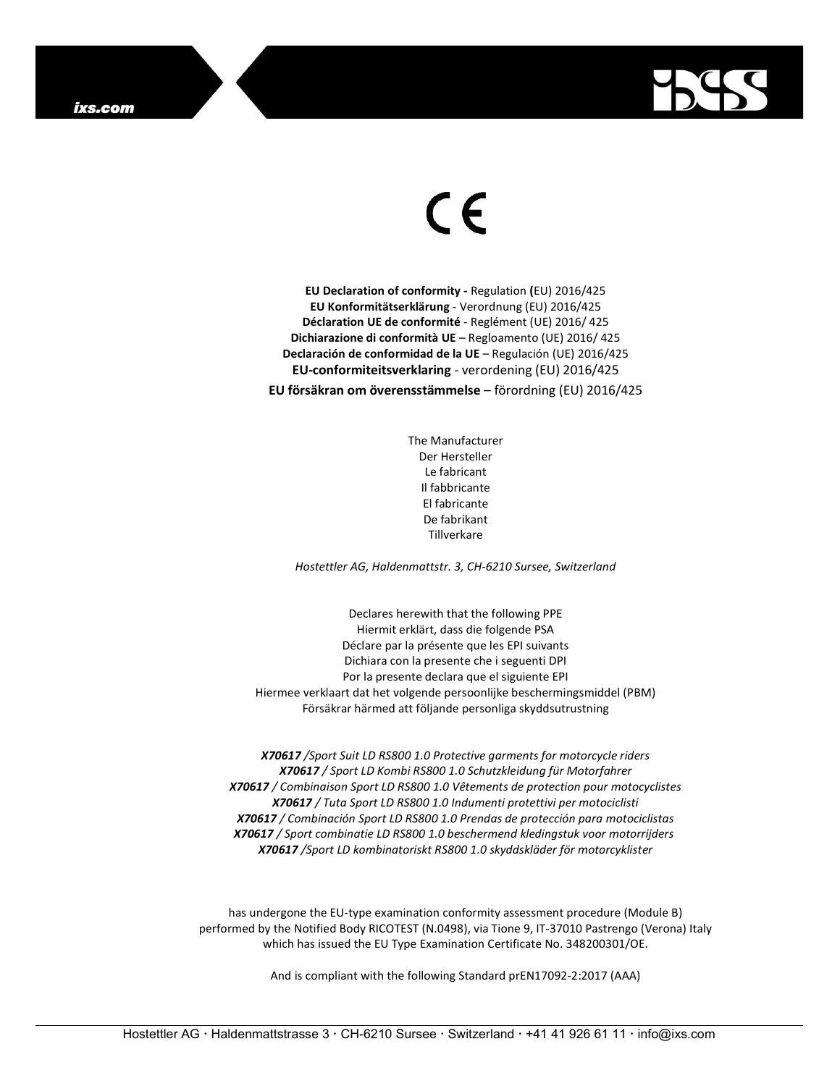

## $\epsilon$

EU Declaration of conformity - Regulation (EU) 2016/425 EU Konformitätserklärung - Verordnung (EU) 2016/425 Déclaration UE de conformité - Reglément (UE) 2016/ 425 Dichiarazione di conformità UE – Regloamento (UE) 2016/ 425 Declaración de conformidad de la UE – Regulación (UE) 2016/425 EU-conformiteitsverklaring - verordening (EU) 2016/425

EU försäkran om överensstämmelse – förordning (EU) 2016/425

The Manufacturer Der Hersteller Le fabricant Il fabbricante El fabricante De fabrikant Tillverkare

Hostettler AG, Haldenmattstr. 3, CH-6210 Sursee, Switzerland

Declares herewith that the following PPE Hiermit erklärt, dass die folgende PSA Déclare par la présente que les EPI suivants Dichiara con la presente che i seguenti DPI Por la presente declara que el siguiente EPI Hiermee verklaart dat het volgende persoonlijke beschermingsmiddel (PBM) Försäkrar härmed att följande personliga skyddsutrustning

X70617 /Sport Suit LD RS800 1.0 Protective garments for motorcycle riders X70617 / Sport LD Kombi RS800 1.0 Schutzkleidung für Motorfahrer X70617 / Combinaison Sport LD RS800 1.0 Vêtements de protection pour motocyclistes X70617 / Tuta Sport LD RS800 1.0 Indumenti protettivi per motociclisti X70617 / Combinación Sport LD RS800 1.0 Prendas de protección para motociclistas X70617 / Sport combinatie LD RS800 1.0 beschermend kledingstuk voor motorrijders X70617 /Sport LD kombinatoriskt RS800 1.0 skyddskläder för motorcyklister

has undergone the EU-type examination conformity assessment procedure (Module B) performed by the Notified Body RICOTEST (N.0498), via Tione 9, IT-37010 Pastrengo (Verona) Italy which has issued the EU Type Examination Certificate No. 348200301/OE.

And is compliant with the following Standard prEN17092-2:2017 (AAA)